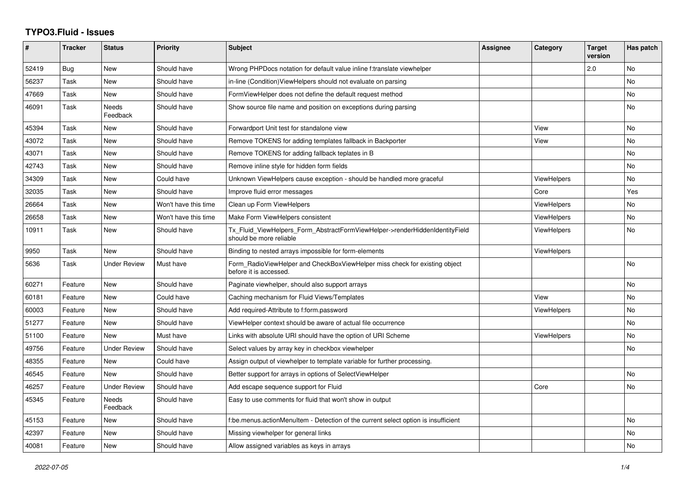## **TYPO3.Fluid - Issues**

| $\pmb{\#}$ | <b>Tracker</b> | <b>Status</b>            | <b>Priority</b>      | <b>Subject</b>                                                                                         | Assignee | Category           | <b>Target</b><br>version | Has patch |
|------------|----------------|--------------------------|----------------------|--------------------------------------------------------------------------------------------------------|----------|--------------------|--------------------------|-----------|
| 52419      | Bug            | New                      | Should have          | Wrong PHPDocs notation for default value inline f:translate viewhelper                                 |          |                    | 2.0                      | No        |
| 56237      | Task           | <b>New</b>               | Should have          | in-line (Condition)ViewHelpers should not evaluate on parsing                                          |          |                    |                          | <b>No</b> |
| 47669      | Task           | New                      | Should have          | FormViewHelper does not define the default request method                                              |          |                    |                          | No        |
| 46091      | Task           | <b>Needs</b><br>Feedback | Should have          | Show source file name and position on exceptions during parsing                                        |          |                    |                          | No        |
| 45394      | Task           | <b>New</b>               | Should have          | Forwardport Unit test for standalone view                                                              |          | View               |                          | <b>No</b> |
| 43072      | Task           | <b>New</b>               | Should have          | Remove TOKENS for adding templates fallback in Backporter                                              |          | View               |                          | No        |
| 43071      | Task           | New                      | Should have          | Remove TOKENS for adding fallback teplates in B                                                        |          |                    |                          | No        |
| 42743      | Task           | New                      | Should have          | Remove inline style for hidden form fields                                                             |          |                    |                          | No        |
| 34309      | Task           | <b>New</b>               | Could have           | Unknown ViewHelpers cause exception - should be handled more graceful                                  |          | ViewHelpers        |                          | <b>No</b> |
| 32035      | Task           | New                      | Should have          | Improve fluid error messages                                                                           |          | Core               |                          | Yes       |
| 26664      | Task           | <b>New</b>               | Won't have this time | Clean up Form ViewHelpers                                                                              |          | ViewHelpers        |                          | <b>No</b> |
| 26658      | Task           | New                      | Won't have this time | Make Form ViewHelpers consistent                                                                       |          | <b>ViewHelpers</b> |                          | No        |
| 10911      | Task           | New                      | Should have          | Tx Fluid ViewHelpers Form AbstractFormViewHelper->renderHiddenIdentityField<br>should be more reliable |          | <b>ViewHelpers</b> |                          | <b>No</b> |
| 9950       | Task           | New                      | Should have          | Binding to nested arrays impossible for form-elements                                                  |          | <b>ViewHelpers</b> |                          |           |
| 5636       | Task           | <b>Under Review</b>      | Must have            | Form_RadioViewHelper and CheckBoxViewHelper miss check for existing object<br>before it is accessed.   |          |                    |                          | <b>No</b> |
| 60271      | Feature        | <b>New</b>               | Should have          | Paginate viewhelper, should also support arrays                                                        |          |                    |                          | <b>No</b> |
| 60181      | Feature        | New                      | Could have           | Caching mechanism for Fluid Views/Templates                                                            |          | View               |                          | No        |
| 60003      | Feature        | New                      | Should have          | Add required-Attribute to f:form.password                                                              |          | <b>ViewHelpers</b> |                          | No        |
| 51277      | Feature        | <b>New</b>               | Should have          | ViewHelper context should be aware of actual file occurrence                                           |          |                    |                          | <b>No</b> |
| 51100      | Feature        | New                      | Must have            | Links with absolute URI should have the option of URI Scheme                                           |          | ViewHelpers        |                          | No        |
| 49756      | Feature        | <b>Under Review</b>      | Should have          | Select values by array key in checkbox viewhelper                                                      |          |                    |                          | No        |
| 48355      | Feature        | New                      | Could have           | Assign output of viewhelper to template variable for further processing.                               |          |                    |                          |           |
| 46545      | Feature        | <b>New</b>               | Should have          | Better support for arrays in options of SelectViewHelper                                               |          |                    |                          | <b>No</b> |
| 46257      | Feature        | <b>Under Review</b>      | Should have          | Add escape sequence support for Fluid                                                                  |          | Core               |                          | No        |
| 45345      | Feature        | <b>Needs</b><br>Feedback | Should have          | Easy to use comments for fluid that won't show in output                                               |          |                    |                          |           |
| 45153      | Feature        | New                      | Should have          | f:be.menus.actionMenuItem - Detection of the current select option is insufficient                     |          |                    |                          | No        |
| 42397      | Feature        | New                      | Should have          | Missing viewhelper for general links                                                                   |          |                    |                          | No        |
| 40081      | Feature        | <b>New</b>               | Should have          | Allow assigned variables as keys in arrays                                                             |          |                    |                          | No        |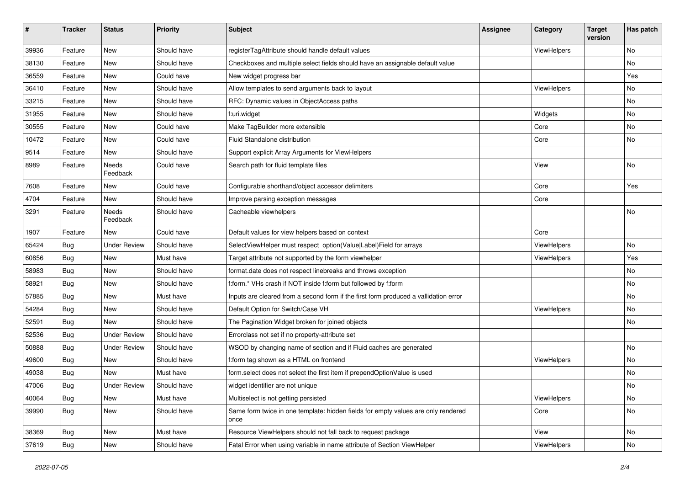| #     | <b>Tracker</b> | <b>Status</b>       | <b>Priority</b> | Subject                                                                                   | <b>Assignee</b> | Category           | <b>Target</b><br>version | Has patch |
|-------|----------------|---------------------|-----------------|-------------------------------------------------------------------------------------------|-----------------|--------------------|--------------------------|-----------|
| 39936 | Feature        | New                 | Should have     | registerTagAttribute should handle default values                                         |                 | ViewHelpers        |                          | <b>No</b> |
| 38130 | Feature        | New                 | Should have     | Checkboxes and multiple select fields should have an assignable default value             |                 |                    |                          | No        |
| 36559 | Feature        | New                 | Could have      | New widget progress bar                                                                   |                 |                    |                          | Yes       |
| 36410 | Feature        | New                 | Should have     | Allow templates to send arguments back to layout                                          |                 | ViewHelpers        |                          | No        |
| 33215 | Feature        | New                 | Should have     | RFC: Dynamic values in ObjectAccess paths                                                 |                 |                    |                          | No        |
| 31955 | Feature        | <b>New</b>          | Should have     | f:uri.widget                                                                              |                 | Widgets            |                          | No        |
| 30555 | Feature        | New                 | Could have      | Make TagBuilder more extensible                                                           |                 | Core               |                          | No        |
| 10472 | Feature        | New                 | Could have      | Fluid Standalone distribution                                                             |                 | Core               |                          | No        |
| 9514  | Feature        | New                 | Should have     | Support explicit Array Arguments for ViewHelpers                                          |                 |                    |                          |           |
| 8989  | Feature        | Needs<br>Feedback   | Could have      | Search path for fluid template files                                                      |                 | View               |                          | No        |
| 7608  | Feature        | New                 | Could have      | Configurable shorthand/object accessor delimiters                                         |                 | Core               |                          | Yes       |
| 4704  | Feature        | New                 | Should have     | Improve parsing exception messages                                                        |                 | Core               |                          |           |
| 3291  | Feature        | Needs<br>Feedback   | Should have     | Cacheable viewhelpers                                                                     |                 |                    |                          | No        |
| 1907  | Feature        | New                 | Could have      | Default values for view helpers based on context                                          |                 | Core               |                          |           |
| 65424 | Bug            | <b>Under Review</b> | Should have     | SelectViewHelper must respect option(Value Label)Field for arrays                         |                 | ViewHelpers        |                          | <b>No</b> |
| 60856 | Bug            | New                 | Must have       | Target attribute not supported by the form viewhelper                                     |                 | <b>ViewHelpers</b> |                          | Yes       |
| 58983 | Bug            | New                 | Should have     | format.date does not respect linebreaks and throws exception                              |                 |                    |                          | No        |
| 58921 | Bug            | New                 | Should have     | f:form.* VHs crash if NOT inside f:form but followed by f:form                            |                 |                    |                          | No        |
| 57885 | Bug            | New                 | Must have       | Inputs are cleared from a second form if the first form produced a vallidation error      |                 |                    |                          | No        |
| 54284 | Bug            | New                 | Should have     | Default Option for Switch/Case VH                                                         |                 | ViewHelpers        |                          | No        |
| 52591 | Bug            | New                 | Should have     | The Pagination Widget broken for joined objects                                           |                 |                    |                          | No        |
| 52536 | Bug            | <b>Under Review</b> | Should have     | Errorclass not set if no property-attribute set                                           |                 |                    |                          |           |
| 50888 | Bug            | <b>Under Review</b> | Should have     | WSOD by changing name of section and if Fluid caches are generated                        |                 |                    |                          | No        |
| 49600 | Bug            | New                 | Should have     | f:form tag shown as a HTML on frontend                                                    |                 | ViewHelpers        |                          | No        |
| 49038 | Bug            | New                 | Must have       | form.select does not select the first item if prependOptionValue is used                  |                 |                    |                          | No        |
| 47006 | Bug            | <b>Under Review</b> | Should have     | widget identifier are not unique                                                          |                 |                    |                          | No        |
| 40064 | Bug            | New                 | Must have       | Multiselect is not getting persisted                                                      |                 | ViewHelpers        |                          | No        |
| 39990 | <b>Bug</b>     | New                 | Should have     | Same form twice in one template: hidden fields for empty values are only rendered<br>once |                 | Core               |                          | No        |
| 38369 | Bug            | New                 | Must have       | Resource ViewHelpers should not fall back to request package                              |                 | View               |                          | No        |
| 37619 | <b>Bug</b>     | New                 | Should have     | Fatal Error when using variable in name attribute of Section ViewHelper                   |                 | ViewHelpers        |                          | No        |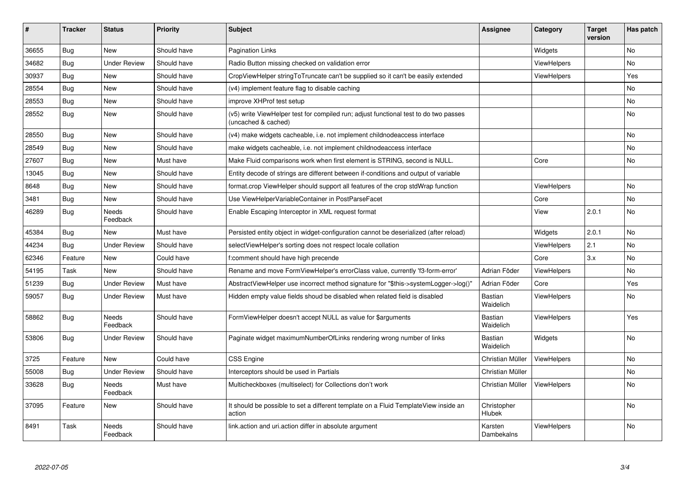| #     | <b>Tracker</b> | <b>Status</b>            | <b>Priority</b> | <b>Subject</b>                                                                                              | Assignee                    | Category           | <b>Target</b><br>version | Has patch |
|-------|----------------|--------------------------|-----------------|-------------------------------------------------------------------------------------------------------------|-----------------------------|--------------------|--------------------------|-----------|
| 36655 | Bug            | <b>New</b>               | Should have     | <b>Pagination Links</b>                                                                                     |                             | Widgets            |                          | No        |
| 34682 | Bug            | Under Review             | Should have     | Radio Button missing checked on validation error                                                            |                             | ViewHelpers        |                          | No.       |
| 30937 | <b>Bug</b>     | New                      | Should have     | CropViewHelper stringToTruncate can't be supplied so it can't be easily extended                            |                             | ViewHelpers        |                          | Yes       |
| 28554 | Bug            | New                      | Should have     | (v4) implement feature flag to disable caching                                                              |                             |                    |                          | No        |
| 28553 | Bug            | <b>New</b>               | Should have     | improve XHProf test setup                                                                                   |                             |                    |                          | No.       |
| 28552 | Bug            | <b>New</b>               | Should have     | (v5) write ViewHelper test for compiled run; adjust functional test to do two passes<br>(uncached & cached) |                             |                    |                          | <b>No</b> |
| 28550 | Bug            | <b>New</b>               | Should have     | (v4) make widgets cacheable, i.e. not implement childnodeaccess interface                                   |                             |                    |                          | No        |
| 28549 | <b>Bug</b>     | <b>New</b>               | Should have     | make widgets cacheable, i.e. not implement childnodeaccess interface                                        |                             |                    |                          | No        |
| 27607 | Bug            | <b>New</b>               | Must have       | Make Fluid comparisons work when first element is STRING, second is NULL.                                   |                             | Core               |                          | No        |
| 13045 | Bug            | New                      | Should have     | Entity decode of strings are different between if-conditions and output of variable                         |                             |                    |                          |           |
| 8648  | Bug            | New                      | Should have     | format.crop ViewHelper should support all features of the crop stdWrap function                             |                             | <b>ViewHelpers</b> |                          | No        |
| 3481  | <b>Bug</b>     | New                      | Should have     | Use ViewHelperVariableContainer in PostParseFacet                                                           |                             | Core               |                          | No        |
| 46289 | Bug            | <b>Needs</b><br>Feedback | Should have     | Enable Escaping Interceptor in XML request format                                                           |                             | View               | 2.0.1                    | No        |
| 45384 | Bug            | New                      | Must have       | Persisted entity object in widget-configuration cannot be deserialized (after reload)                       |                             | Widgets            | 2.0.1                    | No        |
| 44234 | <b>Bug</b>     | <b>Under Review</b>      | Should have     | selectViewHelper's sorting does not respect locale collation                                                |                             | ViewHelpers        | 2.1                      | No        |
| 62346 | Feature        | <b>New</b>               | Could have      | f:comment should have high precende                                                                         |                             | Core               | 3.x                      | No        |
| 54195 | Task           | <b>New</b>               | Should have     | Rename and move FormViewHelper's errorClass value, currently 'f3-form-error'                                | Adrian Föder                | ViewHelpers        |                          | No        |
| 51239 | Bug            | <b>Under Review</b>      | Must have       | AbstractViewHelper use incorrect method signature for "\$this->systemLogger->log()"                         | Adrian Föder                | Core               |                          | Yes       |
| 59057 | Bug            | <b>Under Review</b>      | Must have       | Hidden empty value fields shoud be disabled when related field is disabled                                  | <b>Bastian</b><br>Waidelich | <b>ViewHelpers</b> |                          | No.       |
| 58862 | Bug            | Needs<br>Feedback        | Should have     | FormViewHelper doesn't accept NULL as value for \$arguments                                                 | <b>Bastian</b><br>Waidelich | <b>ViewHelpers</b> |                          | Yes       |
| 53806 | <b>Bug</b>     | <b>Under Review</b>      | Should have     | Paginate widget maximumNumberOfLinks rendering wrong number of links                                        | <b>Bastian</b><br>Waidelich | Widgets            |                          | <b>No</b> |
| 3725  | Feature        | New                      | Could have      | CSS Engine                                                                                                  | Christian Müller            | ViewHelpers        |                          | No        |
| 55008 | Bug            | <b>Under Review</b>      | Should have     | Interceptors should be used in Partials                                                                     | Christian Müller            |                    |                          | No        |
| 33628 | Bug            | <b>Needs</b><br>Feedback | Must have       | Multicheckboxes (multiselect) for Collections don't work                                                    | Christian Müller            | ViewHelpers        |                          | No        |
| 37095 | Feature        | New                      | Should have     | It should be possible to set a different template on a Fluid TemplateView inside an<br>action               | Christopher<br>Hlubek       |                    |                          | No        |
| 8491  | Task           | <b>Needs</b><br>Feedback | Should have     | link.action and uri.action differ in absolute argument                                                      | Karsten<br>Dambekalns       | ViewHelpers        |                          | No        |